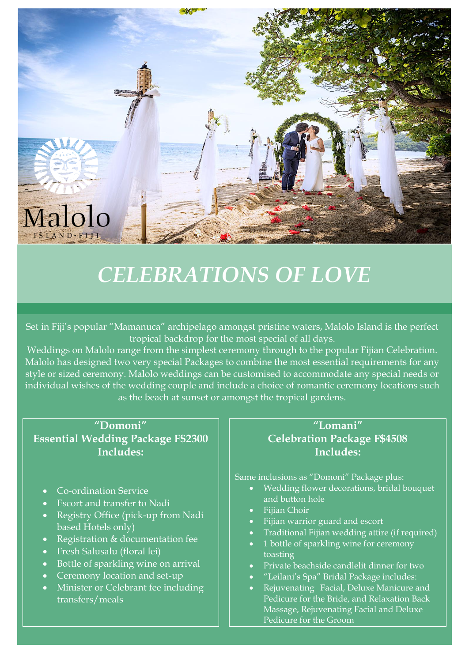

## *CELEBRATIONS OF LOVE*

Set in Fiji's popular "Mamanuca" archipelago amongst pristine waters, Malolo Island is the perfect tropical backdrop for the most special of all days.

Weddings on Malolo range from the simplest ceremony through to the popular Fijian Celebration. Malolo has designed two very special Packages to combine the most essential requirements for any style or sized ceremony. Malolo weddings can be customised to accommodate any special needs or individual wishes of the wedding couple and include a choice of romantic ceremony locations such as the beach at sunset or amongst the tropical gardens.

**"Domoni" Essential Wedding Package F\$2300 Includes:**

- Co-ordination Service
- Escort and transfer to Nadi
- Registry Office (pick-up from Nadi based Hotels only)
- Registration & documentation fee
- Fresh Salusalu (floral lei)
- Bottle of sparkling wine on arrival
- Ceremony location and set-up
- Minister or Celebrant fee including transfers/meals

### **"Lomani" Celebration Package F\$4508 Includes:**

Same inclusions as "Domoni" Package plus:

- Wedding flower decorations, bridal bouquet and button hole
- Fijian Choir
- Fijian warrior guard and escort
- Traditional Fijian wedding attire (if required)
- 1 bottle of sparkling wine for ceremony toasting
- Private beachside candlelit dinner for two
- "Leilani's Spa" Bridal Package includes:
- Rejuvenating Facial, Deluxe Manicure and Pedicure for the Bride, and Relaxation Back Massage, Rejuvenating Facial and Deluxe Pedicure for the Groom